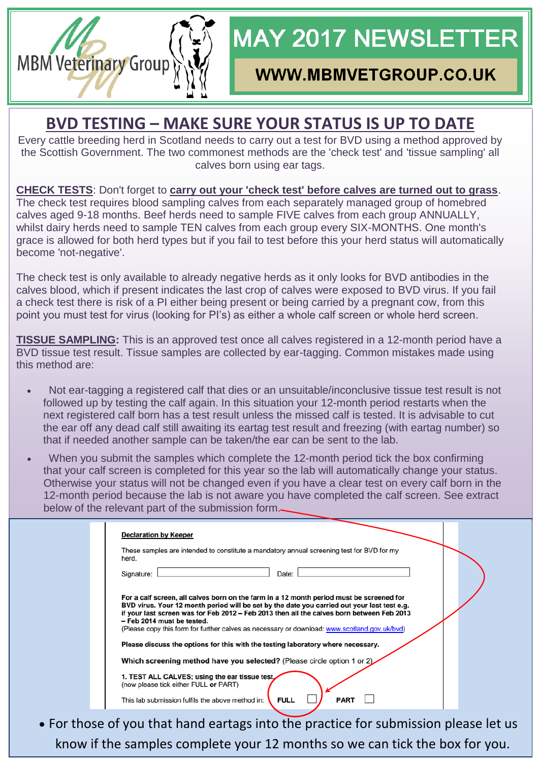

## **WWW.MBMVETGROUP.CO.UK**

### **BVD TESTING – MAKE SURE YOUR STATUS IS UP TO DATE**

**MBM Veterinary Group** 

Every cattle breeding herd in Scotland needs to carry out a test for BVD using a method approved by the Scottish Government. The two commonest methods are the 'check test' and 'tissue sampling' all calves born using ear tags.

**CHECK TESTS**: Don't forget to **carry out your 'check test' before calves are turned out to grass**. The check test requires blood sampling calves from each separately managed group of homebred calves aged 9-18 months. Beef herds need to sample FIVE calves from each group ANNUALLY, whilst dairy herds need to sample TEN calves from each group every SIX-MONTHS. One month's grace is allowed for both herd types but if you fail to test before this your herd status will automatically become 'not-negative'.

The check test is only available to already negative herds as it only looks for BVD antibodies in the calves blood, which if present indicates the last crop of calves were exposed to BVD virus. If you fail a check test there is risk of a PI either being present or being carried by a pregnant cow, from this point you must test for virus (looking for PI's) as either a whole calf screen or whole herd screen.

**TISSUE SAMPLING:** This is an approved test once all calves registered in a 12-month period have a BVD tissue test result. Tissue samples are collected by ear-tagging. Common mistakes made using this method are:

- Not ear-tagging a registered calf that dies or an unsuitable/inconclusive tissue test result is not followed up by testing the calf again. In this situation your 12-month period restarts when the next registered calf born has a test result unless the missed calf is tested. It is advisable to cut the ear off any dead calf still awaiting its eartag test result and freezing (with eartag number) so that if needed another sample can be taken/the ear can be sent to the lab.
- When you submit the samples which complete the 12-month period tick the box confirming that your calf screen is completed for this year so the lab will automatically change your status. Otherwise your status will not be changed even if you have a clear test on every calf born in the 12-month period because the lab is not aware you have completed the calf screen. See extract below of the relevant part of the submission form.

| <b>Declaration by Keeper</b>                                                                                                                                                                                                                                                                                                                                                                                       |
|--------------------------------------------------------------------------------------------------------------------------------------------------------------------------------------------------------------------------------------------------------------------------------------------------------------------------------------------------------------------------------------------------------------------|
| These samples are intended to constitute a mandatory annual screening test for BVD for my<br>herd.                                                                                                                                                                                                                                                                                                                 |
| Date:<br>Signature:                                                                                                                                                                                                                                                                                                                                                                                                |
| For a calf screen, all calves born on the farm in a 12 month period must be screened for<br>BVD virus. Your 12 month period will be set by the date you carried out your last test e.g.<br>if your last screen was for Feb 2012 - Feb 2013 then all the calves born between Feb 2013<br>- Feb 2014 must be tested.<br>(Please copy this form for further calves as necessary or download: www.scotland.gov.uk/bvd) |
| Please discuss the options for this with the testing laboratory where necessary.                                                                                                                                                                                                                                                                                                                                   |
| Which screening method have you selected? (Please circle option 1 or 2)                                                                                                                                                                                                                                                                                                                                            |
| 1. TEST ALL CALVES; using the ear tissue test.<br>(now please tick either FULL or PART)                                                                                                                                                                                                                                                                                                                            |
| <b>PART</b><br><b>FULL</b><br>This lab submission fulfils the above method in:                                                                                                                                                                                                                                                                                                                                     |

 For those of you that hand eartags into the practice for submission please let us know if the samples complete your 12 months so we can tick the box for you.